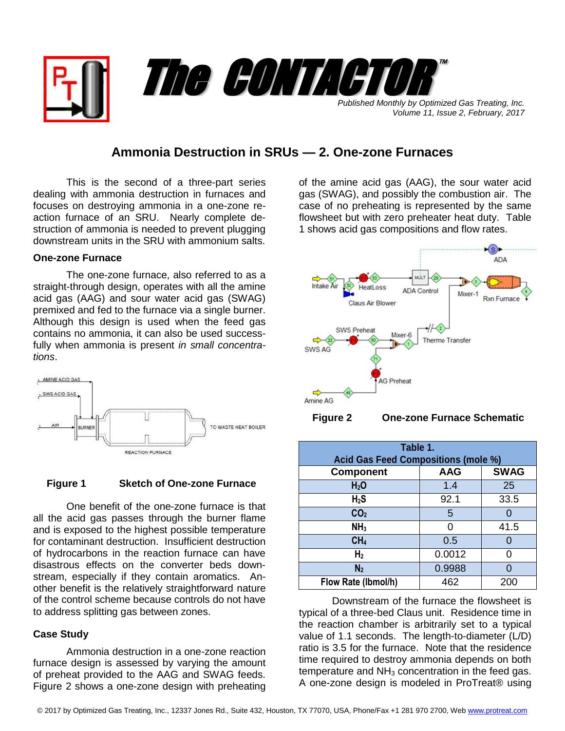

# **Ammonia Destruction in SRUs — 2. One-zone Furnaces**

This is the second of a three-part series dealing with ammonia destruction in furnaces and focuses on destroying ammonia in a one-zone reaction furnace of an SRU. Nearly complete destruction of ammonia is needed to prevent plugging downstream units in the SRU with ammonium salts.

## **One-zone Furnace**

The one-zone furnace, also referred to as a straight-through design, operates with all the amine acid gas (AAG) and sour water acid gas (SWAG) premixed and fed to the furnace via a single burner. Although this design is used when the feed gas contains no ammonia, it can also be used successfully when ammonia is present *in small concentrations*.



#### **Figure 1 Sketch of One-zone Furnace**

One benefit of the one-zone furnace is that all the acid gas passes through the burner flame and is exposed to the highest possible temperature for contaminant destruction. Insufficient destruction of hydrocarbons in the reaction furnace can have disastrous effects on the converter beds downstream, especially if they contain aromatics. Another benefit is the relatively straightforward nature of the control scheme because controls do not have to address splitting gas between zones.

### **Case Study**

Ammonia destruction in a one-zone reaction furnace design is assessed by varying the amount of preheat provided to the AAG and SWAG feeds. Figure 2 shows a one-zone design with preheating

of the amine acid gas (AAG), the sour water acid gas (SWAG), and possibly the combustion air. The case of no preheating is represented by the same flowsheet but with zero preheater heat duty. Table 1 shows acid gas compositions and flow rates.



 **Figure 2 One-zone Furnace Schematic**

| Table 1.                                   |            |             |  |
|--------------------------------------------|------------|-------------|--|
| <b>Acid Gas Feed Compositions (mole %)</b> |            |             |  |
| <b>Component</b>                           | <b>AAG</b> | <b>SWAG</b> |  |
| H <sub>2</sub> O                           | 1.4        | 25          |  |
| $H_2S$                                     | 92.1       | 33.5        |  |
| CO <sub>2</sub>                            | 5          |             |  |
| NH <sub>3</sub>                            |            | 41.5        |  |
| CH <sub>4</sub>                            | 0.5        |             |  |
| H <sub>2</sub>                             | 0.0012     | O           |  |
| N <sub>2</sub>                             | 0.9988     |             |  |
| Flow Rate (Ibmol/h)                        | 462        | 200         |  |

Downstream of the furnace the flowsheet is typical of a three-bed Claus unit. Residence time in the reaction chamber is arbitrarily set to a typical value of 1.1 seconds. The length-to-diameter (L/D) ratio is 3.5 for the furnace. Note that the residence time required to destroy ammonia depends on both temperature and  $NH<sub>3</sub>$  concentration in the feed gas. A one-zone design is modeled in ProTreat® using